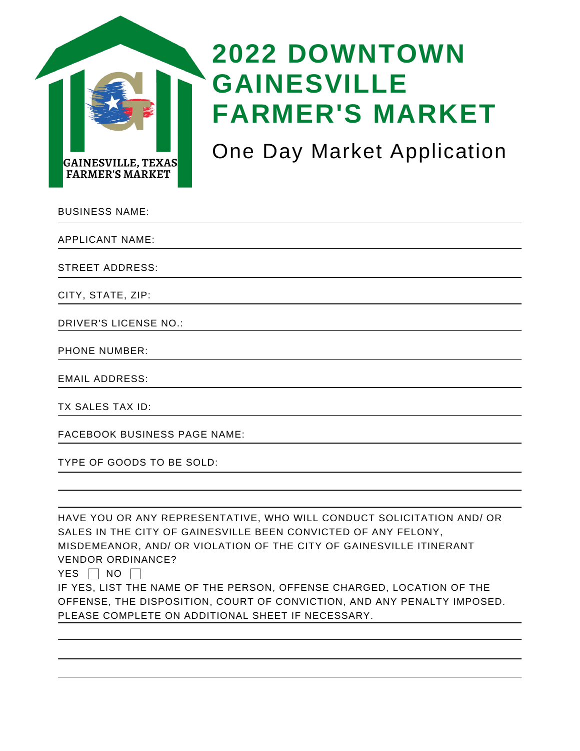

## **2022 DOWNTOWN GAINESVILLE FARMER'S MARKET**

One Day Market Application

| <b>BUSINESS NAME:</b>        |  |
|------------------------------|--|
| <b>APPLICANT NAME:</b>       |  |
| <b>STREET ADDRESS:</b>       |  |
| CITY, STATE, ZIP:            |  |
| <b>DRIVER'S LICENSE NO.:</b> |  |
| <b>PHONE NUMBER:</b>         |  |
| <b>EMAIL ADDRESS:</b>        |  |

TX SALES TAX ID:

FACEBOOK BUSINESS PAGE NAME:

TYPE OF GOODS TO BE SOLD:

HAVE YOU OR ANY REPRESENTATIVE, WHO WILL CONDUCT SOLICITATION AND/ OR SALES IN THE CITY OF GAINESVILLE BEEN CONVICTED OF ANY FELONY, MISDEMEANOR, AND/ OR VIOLATION OF THE CITY OF GAINESVILLE ITINERANT VENDOR ORDINANCE? YES  $\Box$  NO  $\Box$ IF YES, LIST THE NAME OF THE PERSON, OFFENSE CHARGED, LOCATION OF THE OFFENSE, THE DISPOSITION, COURT OF CONVICTION, AND ANY PENALTY IMPOSED. PLEASE COMPLETE ON ADDITIONAL SHEET IF NECESSARY.